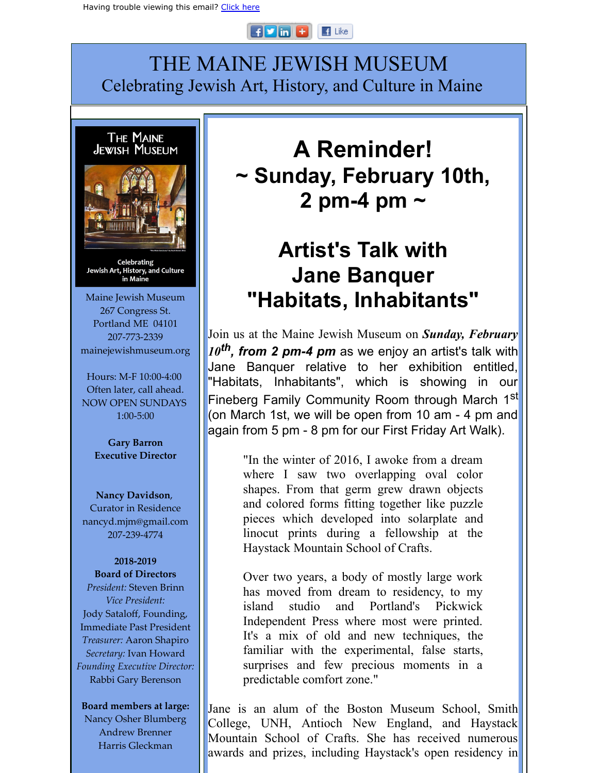#### $H$  $F$  $m$  $H$  $\mathbb{F}$  Like

# THE MAINE JEWISH MUSEUM Celebrating Jewish Art, History, and Culture in Maine



Celebrating Jewish Art, History, and Culture in Maine

Maine Jewish Museum 267 Congress St. Portland ME 04101 207-773-2339 mainejewishmuseum.org

Hours: M-F 10:00-4:00 Often later, call ahead. NOW OPEN SUNDAYS 1:00-5:00

> **Gary Barron Executive Director**

**Nancy Davidson**, Curator in Residence nancyd.mjm@gmail.com 207-239-4774

## **2018-2019**

**Board of Directors** *President:* Steven Brinn *Vice President:* Jody Sataloff, Founding, Immediate Past President *Treasurer:* Aaron Shapiro *Secretary:* Ivan Howard *Founding Executive Director:* Rabbi Gary Berenson

**Board members at large:**

Nancy Osher Blumberg Andrew Brenner Harris Gleckman

# **A Reminder! ~ Sunday, February 10th, 2 pm-4 pm ~**

# **Artist's Talk with Jane Banquer "Habitats, Inhabitants"**

Join us at the Maine Jewish Museum on *Sunday, February 10 th, from 2 pm-4 pm* as we enjoy an artist's talk with Jane Banquer relative to her exhibition entitled, "Habitats, Inhabitants", which is showing in our Fineberg Family Community Room through March 1<sup>st</sup> (on March 1st, we will be open from 10 am - 4 pm and again from 5 pm - 8 pm for our First Friday Art Walk).

> "In the winter of 2016, I awoke from a dream where I saw two overlapping oval color shapes. From that germ grew drawn objects and colored forms fitting together like puzzle pieces which developed into solarplate and linocut prints during a fellowship at the Haystack Mountain School of Crafts.

> Over two years, a body of mostly large work has moved from dream to residency, to my island studio and Portland's Pickwick Independent Press where most were printed. It's a mix of old and new techniques, the familiar with the experimental, false starts, surprises and few precious moments in a predictable comfort zone."

Jane is an alum of the Boston Museum School, Smith College, UNH, Antioch New England, and Haystack Mountain School of Crafts. She has received numerous awards and prizes, including Haystack's open residency in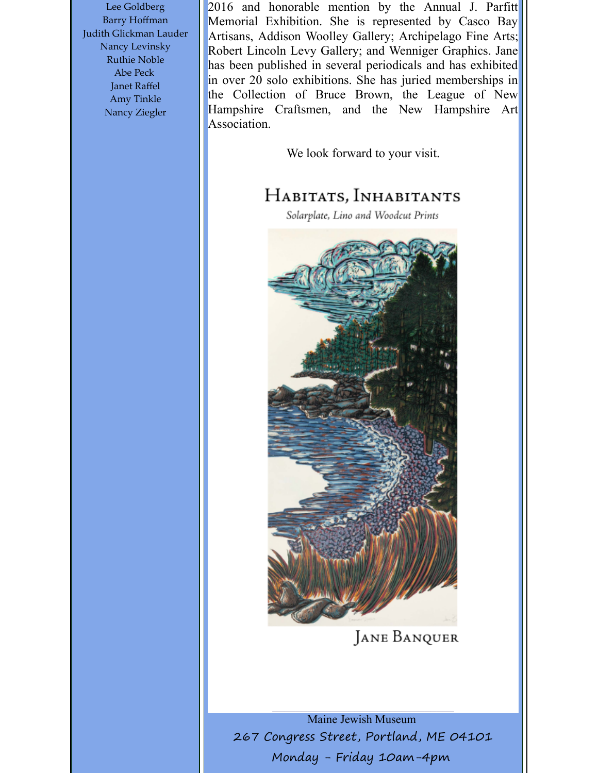Lee Goldberg Barry Hoffman Judith Glickman Lauder Nancy Levinsky Ruthie Noble Abe Peck Janet Raffel Amy Tinkle Nancy Ziegler

2016 and honorable mention by the Annual J. Parfitt Memorial Exhibition. She is represented by Casco Bay Artisans, Addison Woolley Gallery; Archipelago Fine Arts; Robert Lincoln Levy Gallery; and Wenniger Graphics. Jane has been published in several periodicals and has exhibited in over 20 solo exhibitions. She has juried memberships in the Collection of Bruce Brown, the League of New Hampshire Craftsmen, and the New Hampshire Art Association.

We look forward to your visit.

### HABITATS, INHABITANTS

Solarplate, Lino and Woodcut Prints



**JANE BANQUER** 

Maine Jewish Museum 267 Congress Street, Portland, ME 04101 Monday - Friday 10am-4pm